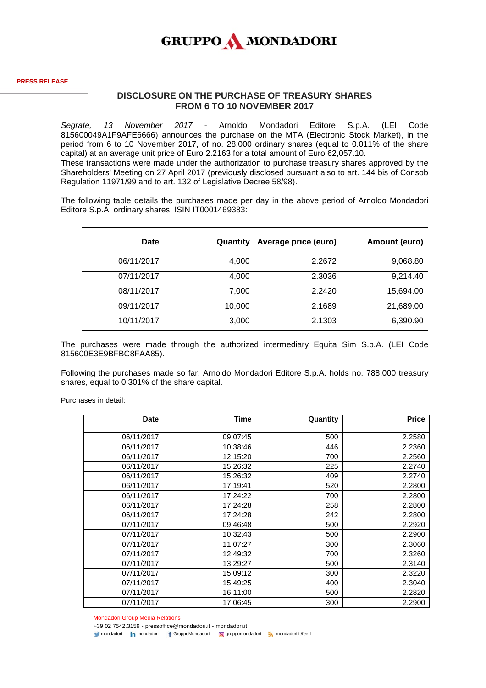

## **DISCLOSURE ON THE PURCHASE OF TREASURY SHARES FROM 6 TO 10 NOVEMBER 2017**

*Segrate, 13 November 2017* - Arnoldo Mondadori Editore S.p.A. (LEI Code 815600049A1F9AFE6666) announces the purchase on the MTA (Electronic Stock Market), in the period from 6 to 10 November 2017, of no. 28,000 ordinary shares (equal to 0.011% of the share capital) at an average unit price of Euro 2.2163 for a total amount of Euro 62,057.10. These transactions were made under the authorization to purchase treasury shares approved by the Shareholders' Meeting on 27 April 2017 (previously disclosed pursuant also to art. 144 bis of Consob Regulation 11971/99 and to art. 132 of Legislative Decree 58/98).

The following table details the purchases made per day in the above period of Arnoldo Mondadori Editore S.p.A. ordinary shares, ISIN IT0001469383:

| <b>Date</b> | Quantity | Average price (euro) | Amount (euro) |
|-------------|----------|----------------------|---------------|
| 06/11/2017  | 4,000    | 2.2672               | 9,068.80      |
| 07/11/2017  | 4,000    | 2.3036               | 9,214.40      |
| 08/11/2017  | 7,000    | 2.2420               | 15,694.00     |
| 09/11/2017  | 10,000   | 2.1689               | 21,689.00     |
| 10/11/2017  | 3,000    | 2.1303               | 6,390.90      |

The purchases were made through the authorized intermediary Equita Sim S.p.A. (LEI Code 815600E3E9BFBC8FAA85).

Following the purchases made so far, Arnoldo Mondadori Editore S.p.A. holds no. 788,000 treasury shares, equal to 0.301% of the share capital.

Purchases in detail:

| <b>Date</b> | <b>Time</b> | Quantity | <b>Price</b> |
|-------------|-------------|----------|--------------|
| 06/11/2017  | 09:07:45    | 500      | 2.2580       |
| 06/11/2017  | 10:38:46    | 446      | 2.2360       |
| 06/11/2017  | 12:15:20    | 700      | 2.2560       |
| 06/11/2017  | 15:26:32    | 225      | 2.2740       |
| 06/11/2017  | 15:26:32    | 409      | 2.2740       |
| 06/11/2017  | 17:19:41    | 520      | 2.2800       |
| 06/11/2017  | 17:24:22    | 700      | 2.2800       |
| 06/11/2017  | 17:24:28    | 258      | 2.2800       |
| 06/11/2017  | 17:24:28    | 242      | 2.2800       |
| 07/11/2017  | 09:46:48    | 500      | 2.2920       |
| 07/11/2017  | 10:32:43    | 500      | 2.2900       |
| 07/11/2017  | 11:07:27    | 300      | 2.3060       |
| 07/11/2017  | 12:49:32    | 700      | 2.3260       |
| 07/11/2017  | 13:29:27    | 500      | 2.3140       |
| 07/11/2017  | 15:09:12    | 300      | 2.3220       |
| 07/11/2017  | 15:49:25    | 400      | 2.3040       |
| 07/11/2017  | 16:11:00    | 500      | 2.2820       |
| 07/11/2017  | 17:06:45    | 300      | 2.2900       |

Mondadori Group Media Relations

+39 02 7542.3159 - pressoffice@mondadori.it - [mondadori.it](http://www.mondadori.it/)

[mondadori](http://www.linkedin.com/company/mondadori) in mondadori f [GruppoMondadori](http://www.facebook.com/GruppoMondadori) o [gruppomondadori](https://www.instagram.com/gruppomondadori/) [mondadori.it/feed](http://www.mondadori.it/feed)